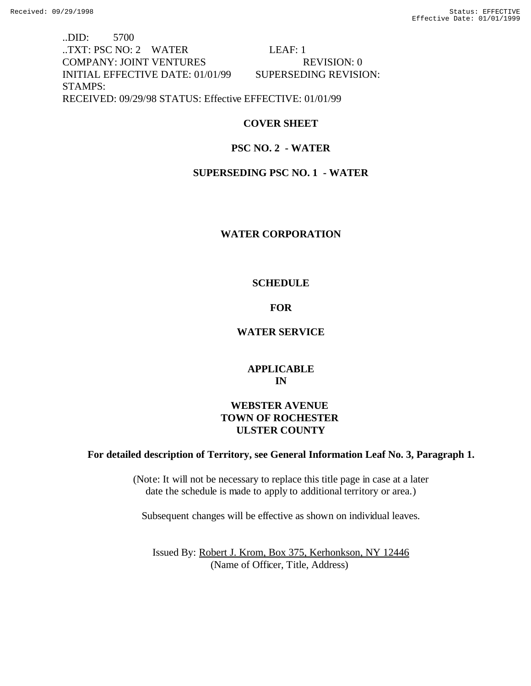..DID: 5700 ..TXT: PSC NO: 2 WATER LEAF: 1 COMPANY: JOINT VENTURES REVISION: 0 INITIAL EFFECTIVE DATE: 01/01/99 SUPERSEDING REVISION: STAMPS: RECEIVED: 09/29/98 STATUS: Effective EFFECTIVE: 01/01/99

# **COVER SHEET**

# **PSC NO. 2 - WATER**

# **SUPERSEDING PSC NO. 1 - WATER**

## **WATER CORPORATION**

## **SCHEDULE**

# **FOR**

# **WATER SERVICE**

# **APPLICABLE IN**

# **WEBSTER AVENUE TOWN OF ROCHESTER ULSTER COUNTY**

# **For detailed description of Territory, see General Information Leaf No. 3, Paragraph 1.**

(Note: It will not be necessary to replace this title page in case at a later date the schedule is made to apply to additional territory or area.)

Subsequent changes will be effective as shown on individual leaves.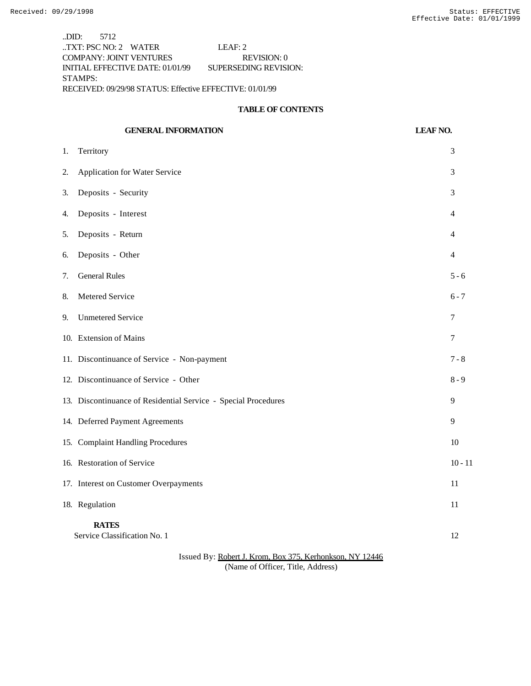..DID: 5712 ..TXT: PSC NO: 2 WATER LEAF: 2 COMPANY: JOINT VENTURES REVISION: 0 INITIAL EFFECTIVE DATE: 01/01/99 SUPERSEDING REVISION: STAMPS: RECEIVED: 09/29/98 STATUS: Effective EFFECTIVE: 01/01/99

## **TABLE OF CONTENTS**

|    | <b>GENERAL INFORMATION</b>                                     | <b>LEAF NO.</b> |
|----|----------------------------------------------------------------|-----------------|
| 1. | Territory                                                      | 3               |
| 2. | Application for Water Service                                  | 3               |
| 3. | Deposits - Security                                            | 3               |
| 4. | Deposits - Interest                                            | 4               |
| 5. | Deposits - Return                                              | 4               |
| 6. | Deposits - Other                                               | $\overline{4}$  |
| 7. | <b>General Rules</b>                                           | $5 - 6$         |
| 8. | Metered Service                                                | $6 - 7$         |
| 9. | <b>Unmetered Service</b>                                       | 7               |
|    | 10. Extension of Mains                                         | 7               |
|    | 11. Discontinuance of Service - Non-payment                    | $7 - 8$         |
|    | 12. Discontinuance of Service - Other                          | $8 - 9$         |
|    | 13. Discontinuance of Residential Service - Special Procedures | 9               |
|    | 14. Deferred Payment Agreements                                | 9               |
|    | 15. Complaint Handling Procedures                              | 10              |
|    | 16. Restoration of Service                                     | $10 - 11$       |
|    | 17. Interest on Customer Overpayments                          | 11              |
|    | 18. Regulation                                                 | 11              |
|    | <b>RATES</b><br>Service Classification No. 1                   | 12              |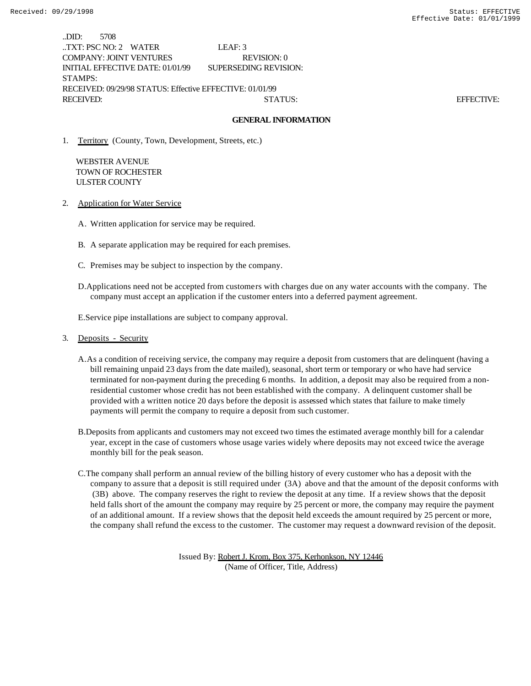..DID: 5708 ..TXT: PSC NO: 2 WATER LEAF: 3 COMPANY: JOINT VENTURES REVISION: 0 INITIAL EFFECTIVE DATE: 01/01/99 SUPERSEDING REVISION: STAMPS: RECEIVED: 09/29/98 STATUS: Effective EFFECTIVE: 01/01/99 RECEIVED: STATUS: EFFECTIVE:

#### **GENERAL INFORMATION**

1. Territory (County, Town, Development, Streets, etc.)

 WEBSTER AVENUE TOWN OF ROCHESTER ULSTER COUNTY

2. Application for Water Service

- A. Written application for service may be required.
- B. A separate application may be required for each premises.
- C. Premises may be subject to inspection by the company.
- D.Applications need not be accepted from customers with charges due on any water accounts with the company. The company must accept an application if the customer enters into a deferred payment agreement.

E.Service pipe installations are subject to company approval.

#### 3. Deposits - Security

- A.As a condition of receiving service, the company may require a deposit from customers that are delinquent (having a bill remaining unpaid 23 days from the date mailed), seasonal, short term or temporary or who have had service terminated for non-payment during the preceding 6 months. In addition, a deposit may also be required from a nonresidential customer whose credit has not been established with the company. A delinquent customer shall be provided with a written notice 20 days before the deposit is assessed which states that failure to make timely payments will permit the company to require a deposit from such customer.
- B.Deposits from applicants and customers may not exceed two times the estimated average monthly bill for a calendar year, except in the case of customers whose usage varies widely where deposits may not exceed twice the average monthly bill for the peak season.
- C.The company shall perform an annual review of the billing history of every customer who has a deposit with the company to assure that a deposit is still required under (3A) above and that the amount of the deposit conforms with (3B) above. The company reserves the right to review the deposit at any time. If a review shows that the deposit held falls short of the amount the company may require by 25 percent or more, the company may require the payment of an additional amount. If a review shows that the deposit held exceeds the amount required by 25 percent or more, the company shall refund the excess to the customer. The customer may request a downward revision of the deposit.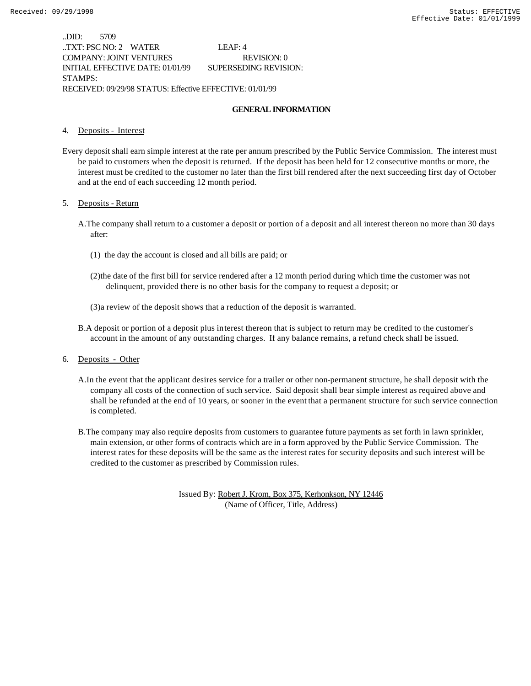..DID: 5709 ..TXT: PSC NO: 2 WATER LEAF: 4 COMPANY: JOINT VENTURES REVISION: 0 INITIAL EFFECTIVE DATE: 01/01/99 SUPERSEDING REVISION: STAMPS: RECEIVED: 09/29/98 STATUS: Effective EFFECTIVE: 01/01/99

### **GENERAL INFORMATION**

#### 4. Deposits - Interest

Every deposit shall earn simple interest at the rate per annum prescribed by the Public Service Commission. The interest must be paid to customers when the deposit is returned. If the deposit has been held for 12 consecutive months or more, the interest must be credited to the customer no later than the first bill rendered after the next succeeding first day of October and at the end of each succeeding 12 month period.

#### 5. Deposits - Return

- A.The company shall return to a customer a deposit or portion of a deposit and all interest thereon no more than 30 days after:
	- (1) the day the account is closed and all bills are paid; or
	- (2)the date of the first bill for service rendered after a 12 month period during which time the customer was not delinquent, provided there is no other basis for the company to request a deposit; or
	- (3)a review of the deposit shows that a reduction of the deposit is warranted.
- B.A deposit or portion of a deposit plus interest thereon that is subject to return may be credited to the customer's account in the amount of any outstanding charges. If any balance remains, a refund check shall be issued.
- 6. Deposits Other
	- A.In the event that the applicant desires service for a trailer or other non-permanent structure, he shall deposit with the company all costs of the connection of such service. Said deposit shall bear simple interest as required above and shall be refunded at the end of 10 years, or sooner in the event that a permanent structure for such service connection is completed.
	- B.The company may also require deposits from customers to guarantee future payments as set forth in lawn sprinkler, main extension, or other forms of contracts which are in a form approved by the Public Service Commission. The interest rates for these deposits will be the same as the interest rates for security deposits and such interest will be credited to the customer as prescribed by Commission rules.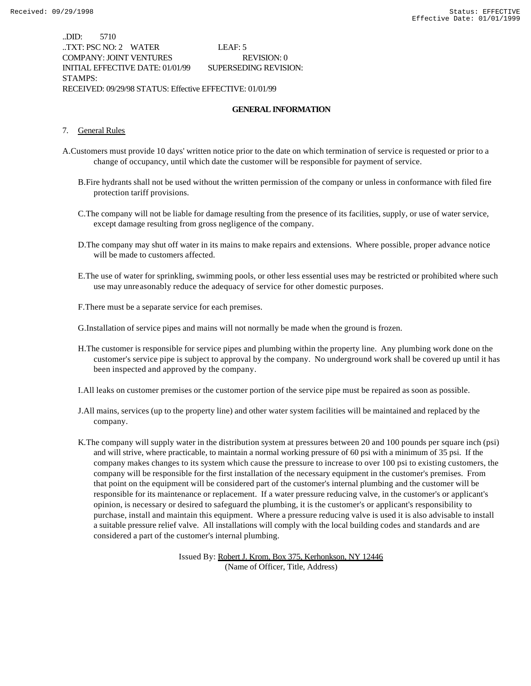..DID: 5710 ..TXT: PSC NO: 2 WATER LEAF: 5 COMPANY: JOINT VENTURES REVISION: 0 INITIAL EFFECTIVE DATE: 01/01/99 SUPERSEDING REVISION: STAMPS: RECEIVED: 09/29/98 STATUS: Effective EFFECTIVE: 01/01/99

## **GENERAL INFORMATION**

#### 7. General Rules

- A.Customers must provide 10 days' written notice prior to the date on which termination of service is requested or prior to a change of occupancy, until which date the customer will be responsible for payment of service.
	- B.Fire hydrants shall not be used without the written permission of the company or unless in conformance with filed fire protection tariff provisions.
	- C.The company will not be liable for damage resulting from the presence of its facilities, supply, or use of water service, except damage resulting from gross negligence of the company.
	- D.The company may shut off water in its mains to make repairs and extensions. Where possible, proper advance notice will be made to customers affected.
	- E.The use of water for sprinkling, swimming pools, or other less essential uses may be restricted or prohibited where such use may unreasonably reduce the adequacy of service for other domestic purposes.
	- F.There must be a separate service for each premises.

G.Installation of service pipes and mains will not normally be made when the ground is frozen.

H.The customer is responsible for service pipes and plumbing within the property line. Any plumbing work done on the customer's service pipe is subject to approval by the company. No underground work shall be covered up until it has been inspected and approved by the company.

I.All leaks on customer premises or the customer portion of the service pipe must be repaired as soon as possible.

- J.All mains, services (up to the property line) and other water system facilities will be maintained and replaced by the company.
- K.The company will supply water in the distribution system at pressures between 20 and 100 pounds per square inch (psi) and will strive, where practicable, to maintain a normal working pressure of 60 psi with a minimum of 35 psi. If the company makes changes to its system which cause the pressure to increase to over 100 psi to existing customers, the company will be responsible for the first installation of the necessary equipment in the customer's premises. From that point on the equipment will be considered part of the customer's internal plumbing and the customer will be responsible for its maintenance or replacement. If a water pressure reducing valve, in the customer's or applicant's opinion, is necessary or desired to safeguard the plumbing, it is the customer's or applicant's responsibility to purchase, install and maintain this equipment. Where a pressure reducing valve is used it is also advisable to install a suitable pressure relief valve. All installations will comply with the local building codes and standards and are considered a part of the customer's internal plumbing.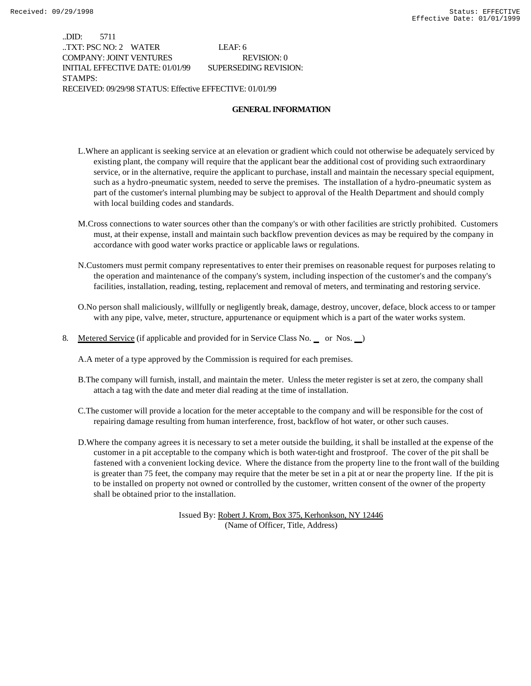..DID: 5711 ..TXT: PSC NO: 2 WATER LEAF: 6 COMPANY: JOINT VENTURES REVISION: 0 INITIAL EFFECTIVE DATE: 01/01/99 SUPERSEDING REVISION: STAMPS: RECEIVED: 09/29/98 STATUS: Effective EFFECTIVE: 01/01/99

## **GENERAL INFORMATION**

- L.Where an applicant is seeking service at an elevation or gradient which could not otherwise be adequately serviced by existing plant, the company will require that the applicant bear the additional cost of providing such extraordinary service, or in the alternative, require the applicant to purchase, install and maintain the necessary special equipment, such as a hydro-pneumatic system, needed to serve the premises. The installation of a hydro-pneumatic system as part of the customer's internal plumbing may be subject to approval of the Health Department and should comply with local building codes and standards.
- M.Cross connections to water sources other than the company's or with other facilities are strictly prohibited. Customers must, at their expense, install and maintain such backflow prevention devices as may be required by the company in accordance with good water works practice or applicable laws or regulations.
- N.Customers must permit company representatives to enter their premises on reasonable request for purposes relating to the operation and maintenance of the company's system, including inspection of the customer's and the company's facilities, installation, reading, testing, replacement and removal of meters, and terminating and restoring service.
- O.No person shall maliciously, willfully or negligently break, damage, destroy, uncover, deface, block access to or tamper with any pipe, valve, meter, structure, appurtenance or equipment which is a part of the water works system.
- 8. Metered Service (if applicable and provided for in Service Class No. \_ or Nos. \_)

A.A meter of a type approved by the Commission is required for each premises.

- B.The company will furnish, install, and maintain the meter. Unless the meter register is set at zero, the company shall attach a tag with the date and meter dial reading at the time of installation.
- C.The customer will provide a location for the meter acceptable to the company and will be responsible for the cost of repairing damage resulting from human interference, frost, backflow of hot water, or other such causes.
- D.Where the company agrees it is necessary to set a meter outside the building, it shall be installed at the expense of the customer in a pit acceptable to the company which is both water-tight and frostproof. The cover of the pit shall be fastened with a convenient locking device. Where the distance from the property line to the front wall of the building is greater than 75 feet, the company may require that the meter be set in a pit at or near the property line. If the pit is to be installed on property not owned or controlled by the customer, written consent of the owner of the property shall be obtained prior to the installation.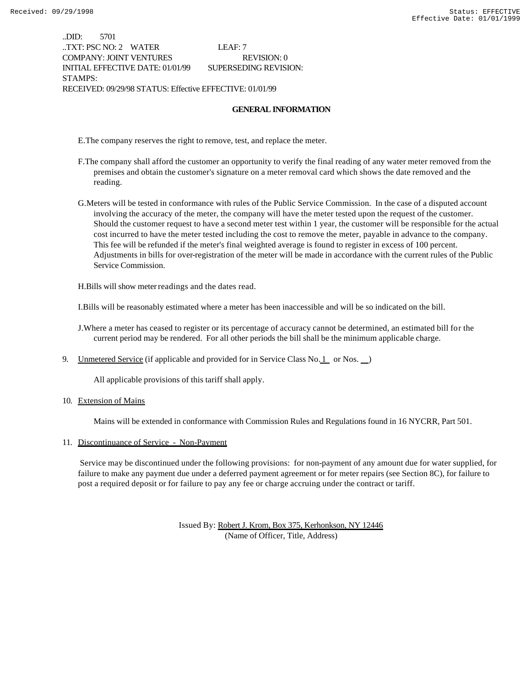..DID: 5701 ..TXT: PSC NO: 2 WATER LEAF: 7 COMPANY: JOINT VENTURES REVISION: 0 INITIAL EFFECTIVE DATE: 01/01/99 SUPERSEDING REVISION: STAMPS: RECEIVED: 09/29/98 STATUS: Effective EFFECTIVE: 01/01/99

### **GENERAL INFORMATION**

E.The company reserves the right to remove, test, and replace the meter.

- F.The company shall afford the customer an opportunity to verify the final reading of any water meter removed from the premises and obtain the customer's signature on a meter removal card which shows the date removed and the reading.
- G.Meters will be tested in conformance with rules of the Public Service Commission. In the case of a disputed account involving the accuracy of the meter, the company will have the meter tested upon the request of the customer. Should the customer request to have a second meter test within 1 year, the customer will be responsible for the actual cost incurred to have the meter tested including the cost to remove the meter, payable in advance to the company. This fee will be refunded if the meter's final weighted average is found to register in excess of 100 percent. Adjustments in bills for over-registration of the meter will be made in accordance with the current rules of the Public Service Commission.

H.Bills will show meter readings and the dates read.

I.Bills will be reasonably estimated where a meter has been inaccessible and will be so indicated on the bill.

J.Where a meter has ceased to register or its percentage of accuracy cannot be determined, an estimated bill for the current period may be rendered. For all other periods the bill shall be the minimum applicable charge.

9. Unmetered Service (if applicable and provided for in Service Class No.  $1$  or Nos.  $\Box$ )

All applicable provisions of this tariff shall apply.

10. Extension of Mains

Mains will be extended in conformance with Commission Rules and Regulations found in 16 NYCRR, Part 501.

#### 11. Discontinuance of Service - Non-Payment

 Service may be discontinued under the following provisions: for non-payment of any amount due for water supplied, for failure to make any payment due under a deferred payment agreement or for meter repairs (see Section 8C), for failure to post a required deposit or for failure to pay any fee or charge accruing under the contract or tariff.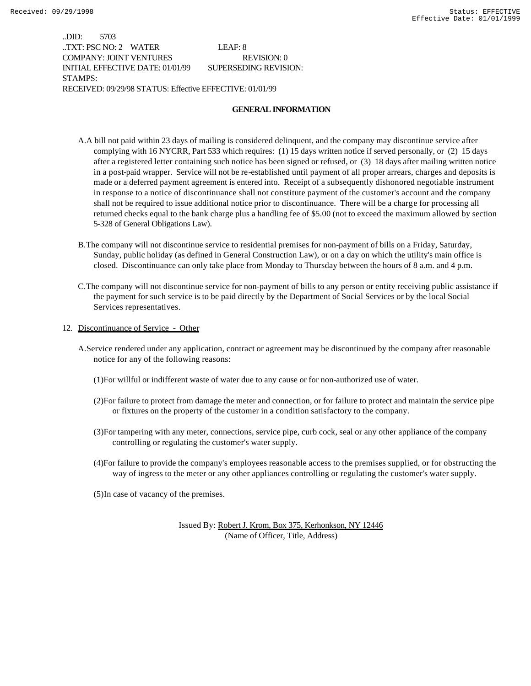..DID: 5703 ..TXT: PSC NO: 2 WATER LEAF: 8 COMPANY: JOINT VENTURES REVISION: 0 INITIAL EFFECTIVE DATE: 01/01/99 SUPERSEDING REVISION: STAMPS: RECEIVED: 09/29/98 STATUS: Effective EFFECTIVE: 01/01/99

### **GENERAL INFORMATION**

- A.A bill not paid within 23 days of mailing is considered delinquent, and the company may discontinue service after complying with 16 NYCRR, Part 533 which requires: (1) 15 days written notice if served personally, or (2) 15 days after a registered letter containing such notice has been signed or refused, or (3) 18 days after mailing written notice in a post-paid wrapper. Service will not be re-established until payment of all proper arrears, charges and deposits is made or a deferred payment agreement is entered into. Receipt of a subsequently dishonored negotiable instrument in response to a notice of discontinuance shall not constitute payment of the customer's account and the company shall not be required to issue additional notice prior to discontinuance. There will be a charge for processing all returned checks equal to the bank charge plus a handling fee of \$5.00 (not to exceed the maximum allowed by section 5-328 of General Obligations Law).
- B.The company will not discontinue service to residential premises for non-payment of bills on a Friday, Saturday, Sunday, public holiday (as defined in General Construction Law), or on a day on which the utility's main office is closed. Discontinuance can only take place from Monday to Thursday between the hours of 8 a.m. and 4 p.m.
- C.The company will not discontinue service for non-payment of bills to any person or entity receiving public assistance if the payment for such service is to be paid directly by the Department of Social Services or by the local Social Services representatives.
- 12. Discontinuance of Service Other
	- A.Service rendered under any application, contract or agreement may be discontinued by the company after reasonable notice for any of the following reasons:
		- (1)For willful or indifferent waste of water due to any cause or for non-authorized use of water.
		- (2)For failure to protect from damage the meter and connection, or for failure to protect and maintain the service pipe or fixtures on the property of the customer in a condition satisfactory to the company.
		- (3)For tampering with any meter, connections, service pipe, curb cock, seal or any other appliance of the company controlling or regulating the customer's water supply.
		- (4)For failure to provide the company's employees reasonable access to the premises supplied, or for obstructing the way of ingress to the meter or any other appliances controlling or regulating the customer's water supply.
		- (5)In case of vacancy of the premises.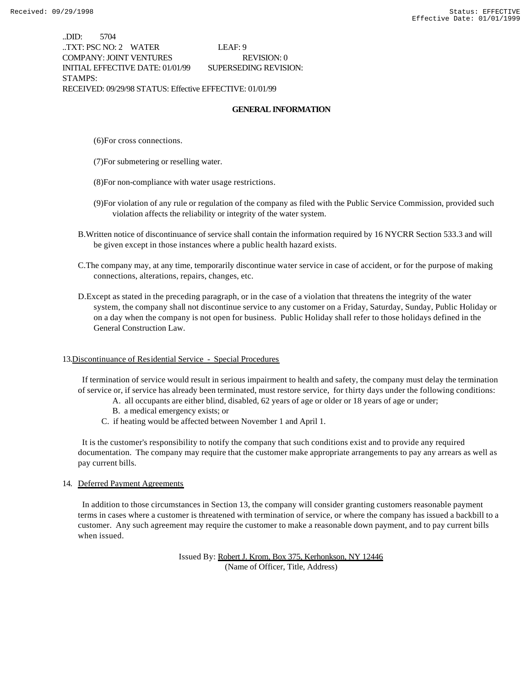..DID: 5704 ..TXT: PSC NO: 2 WATER LEAF: 9 COMPANY: JOINT VENTURES REVISION: 0 INITIAL EFFECTIVE DATE: 01/01/99 SUPERSEDING REVISION: STAMPS: RECEIVED: 09/29/98 STATUS: Effective EFFECTIVE: 01/01/99

### **GENERAL INFORMATION**

(6)For cross connections.

(7)For submetering or reselling water.

(8)For non-compliance with water usage restrictions.

- (9)For violation of any rule or regulation of the company as filed with the Public Service Commission, provided such violation affects the reliability or integrity of the water system.
- B.Written notice of discontinuance of service shall contain the information required by 16 NYCRR Section 533.3 and will be given except in those instances where a public health hazard exists.
- C.The company may, at any time, temporarily discontinue water service in case of accident, or for the purpose of making connections, alterations, repairs, changes, etc.
- D.Except as stated in the preceding paragraph, or in the case of a violation that threatens the integrity of the water system, the company shall not discontinue service to any customer on a Friday, Saturday, Sunday, Public Holiday or on a day when the company is not open for business. Public Holiday shall refer to those holidays defined in the General Construction Law.

#### 13.Discontinuance of Residential Service - Special Procedures

 If termination of service would result in serious impairment to health and safety, the company must delay the termination of service or, if service has already been terminated, must restore service, for thirty days under the following conditions:

- A. all occupants are either blind, disabled, 62 years of age or older or 18 years of age or under;
- B. a medical emergency exists; or
- C. if heating would be affected between November 1 and April 1.

 It is the customer's responsibility to notify the company that such conditions exist and to provide any required documentation. The company may require that the customer make appropriate arrangements to pay any arrears as well as pay current bills.

#### 14. Deferred Payment Agreements

 In addition to those circumstances in Section 13, the company will consider granting customers reasonable payment terms in cases where a customer is threatened with termination of service, or where the company has issued a backbill to a customer. Any such agreement may require the customer to make a reasonable down payment, and to pay current bills when issued.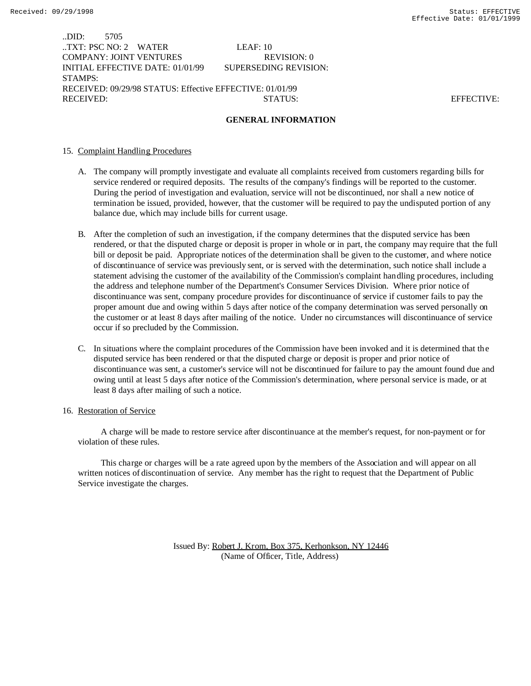..DID: 5705 ..TXT: PSC NO: 2 WATER LEAF: 10 COMPANY: JOINT VENTURES REVISION: 0 INITIAL EFFECTIVE DATE: 01/01/99 SUPERSEDING REVISION: STAMPS: RECEIVED: 09/29/98 STATUS: Effective EFFECTIVE: 01/01/99 RECEIVED: STATUS: EFFECTIVE:

#### **GENERAL INFORMATION**

#### 15. Complaint Handling Procedures

- A. The company will promptly investigate and evaluate all complaints received from customers regarding bills for service rendered or required deposits. The results of the company's findings will be reported to the customer. During the period of investigation and evaluation, service will not be discontinued, nor shall a new notice of termination be issued, provided, however, that the customer will be required to pay the undisputed portion of any balance due, which may include bills for current usage.
- B. After the completion of such an investigation, if the company determines that the disputed service has been rendered, or that the disputed charge or deposit is proper in whole or in part, the company may require that the full bill or deposit be paid. Appropriate notices of the determination shall be given to the customer, and where notice of discontinuance of service was previously sent, or is served with the determination, such notice shall include a statement advising the customer of the availability of the Commission's complaint handling procedures, including the address and telephone number of the Department's Consumer Services Division. Where prior notice of discontinuance was sent, company procedure provides for discontinuance of service if customer fails to pay the proper amount due and owing within 5 days after notice of the company determination was served personally on the customer or at least 8 days after mailing of the notice. Under no circumstances will discontinuance of service occur if so precluded by the Commission.
- C. In situations where the complaint procedures of the Commission have been invoked and it is determined that the disputed service has been rendered or that the disputed charge or deposit is proper and prior notice of discontinuance was sent, a customer's service will not be discontinued for failure to pay the amount found due and owing until at least 5 days after notice of the Commission's determination, where personal service is made, or at least 8 days after mailing of such a notice.

#### 16. Restoration of Service

 A charge will be made to restore service after discontinuance at the member's request, for non-payment or for violation of these rules.

 This charge or charges will be a rate agreed upon by the members of the Association and will appear on all written notices of discontinuation of service. Any member has the right to request that the Department of Public Service investigate the charges.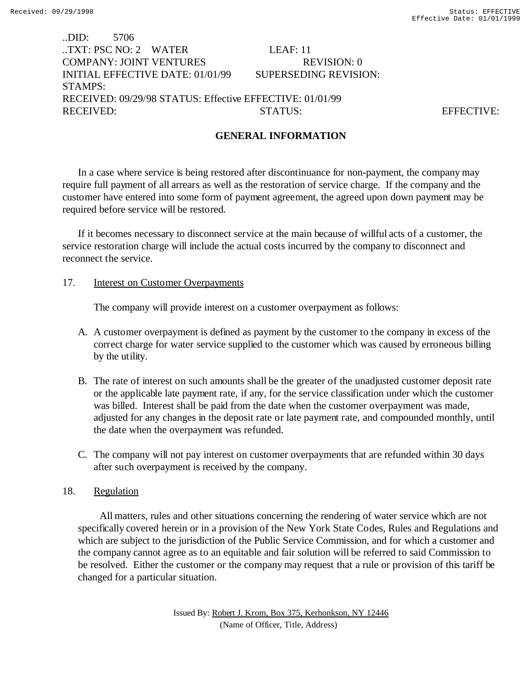# ..DID: 5706 ..TXT: PSC NO: 2 WATER LEAF: 11 COMPANY: JOINT VENTURES REVISION: 0 INITIAL EFFECTIVE DATE: 01/01/99 SUPERSEDING REVISION: STAMPS: RECEIVED: 09/29/98 STATUS: Effective EFFECTIVE: 01/01/99 RECEIVED: STATUS: STATUS: EFFECTIVE:

# **GENERAL INFORMATION**

In a case where service is being restored after discontinuance for non-payment, the company may require full payment of all arrears as well as the restoration of service charge. If the company and the customer have entered into some form of payment agreement, the agreed upon down payment may be required before service will be restored.

If it becomes necessary to disconnect service at the main because of willful acts of a customer, the service restoration charge will include the actual costs incurred by the company to disconnect and reconnect the service.

# 17. **Interest on Customer Overpayments**

The company will provide interest on a customer overpayment as follows:

- A. A customer overpayment is defined as payment by the customer to the company in excess of the correct charge for water service supplied to the customer which was caused by erroneous billing by the utility.
- B. The rate of interest on such amounts shall be the greater of the unadjusted customer deposit rate or the applicable late payment rate, if any, for the service classification under which the customer was billed. Interest shall be paid from the date when the customer overpayment was made, adjusted for any changes in the deposit rate or late payment rate, and compounded monthly, until the date when the overpayment was refunded.
- C. The company will not pay interest on customer overpayments that are refunded within 30 days after such overpayment is received by the company.

# 18. Regulation

 All matters, rules and other situations concerning the rendering of water service which are not specifically covered herein or in a provision of the New York State Codes, Rules and Regulations and which are subject to the jurisdiction of the Public Service Commission, and for which a customer and the company cannot agree as to an equitable and fair solution will be referred to said Commission to be resolved. Either the customer or the company may request that a rule or provision of this tariff be changed for a particular situation.